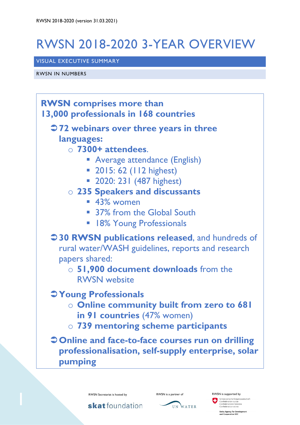# RWSN 2018-2020 3-YEAR OVERVIEW

# VISUAL EXECUTIVE SUMMARY

RWSN IN NUMBERS





RWSN Secretariat is hosted by **RWSN** is a partner of **RWSN** is supported by Schweizerische Eidgenossenschaft<br>Confédération suisse<br>Confederazione Svizzera<br>Confederaziun suizza

wiss Agency for Development<br>nd Cooperation SDC

skatfoundation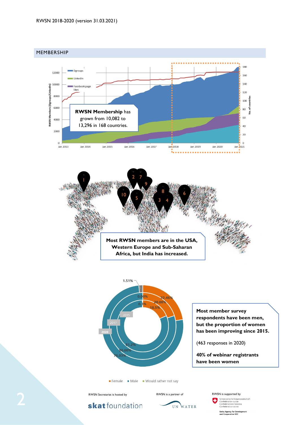





**Most member survey respondents have been men, but the proportion of women has been improving since 2015.**

(463 responses in 2020)

women women.<br>Women women

**40% of webinar registrants have been women**

Female Male Would rather not say

skat foundation



**Agency for Deve**<br>poperation SDC

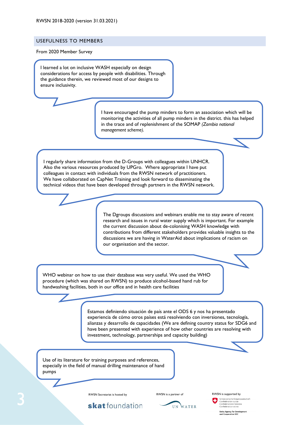### USEFULNESS TO MEMBERS

From 2020 Member Survey

I learned a lot on inclusive WASH especially on design considerations for access by people with disabilities. Through the guidance therein, we reviewed most of our designs to ensure inclusivity.

> I have encouraged the pump minders to form an association which will be monitoring the activities of all pump minders in the district. this has helped in the trace and of replenishment of the SOMAP *(Zambia national management scheme).*

I regularly share information from the D-Groups with colleagues within UNHCR. Also the various resources produced by UPGro. Where appropriate I have put colleagues in contact with individuals from the RWSN network of practitioners. We have collaborated on CapNet Training and look forward to disseminating the technical videos that have been developed through partners in the RWSN network.

> The Dgroups discussions and webinars enable me to stay aware of recent research and issues in rural water supply which is important. For example the current discussion about de-colonising WASH knowledge with contributions from different stakeholders provides valuable insights to the discussions we are having in WaterAid about implications of racism on our organisation and the sector.

WHO webinar on how to use their database was very useful. We used the WHO procedure (which was shared on RWSN) to produce alcohol-based hand rub for handwashing facilities, both in our office and in health care facilities

> Estamos definiendo situación de país ante el ODS 6 y nos ha presentado experiencia de cómo otros países está resolviendo con inversiones, tecnología, alianzas y desarrollo de capacidades (We are defining country status for SDG6 and have been presented with experience of how other countries are resolving with investment, technology, partnerships and capacity building)

Use of its literature for training purposes and references, especially in the field of manual drilling maintenance of hand pumps

RWSN Secretariat is hosted by **RWSN** is a partner of **RWSN** is supported by

skat foundation



ss Agency for Development<br>Cooperation SDC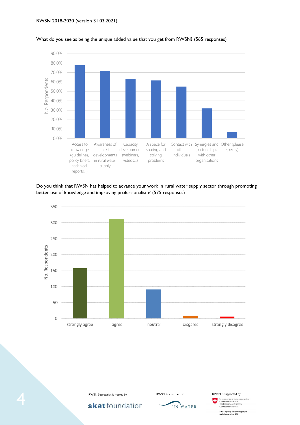

### What do you see as being the unique added value that you get from RWSN? (565 responses)

Do you think that RWSN has helped to advance your work in rural water supply sector through promoting better use of knowledge and improving professionalism? (575 responses)









4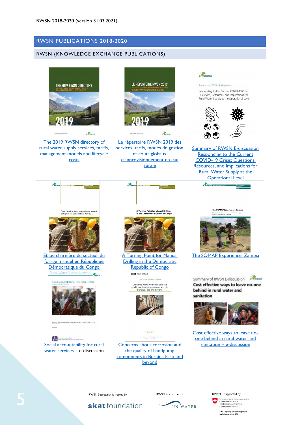# RWSN PUBLICATIONS 2018-2020

## RWSN (KNOWLEDGE EXCHANGE PUBLICATIONS)



[The 2019 RWSN directory of](https://www.rural-water-supply.net/en/resources/details/861)  [rural water supply services, tariffs,](https://www.rural-water-supply.net/en/resources/details/861)  [management models and lifecycle](https://www.rural-water-supply.net/en/resources/details/861)  [costs](https://www.rural-water-supply.net/en/resources/details/861)



[Le répertoire RWSN 2019 des](https://www.rural-water-supply.net/en/resources/details/863)  [services, tarifs, modes de gestion](https://www.rural-water-supply.net/en/resources/details/863)  [et coûts globaux](https://www.rural-water-supply.net/en/resources/details/863)  [d'approvisionnement en eau](https://www.rural-water-supply.net/en/resources/details/863)  [rurale](https://www.rural-water-supply.net/en/resources/details/863)

 $\mathcal{R}_{\text{nm}}$ 



 $R_{Rursa}$ 

### Summary of RWSN E-discussion

Responding to the Current COVID-19 Crisis: Questions, Resources, and Implications for Rural Water Supply at the Operational Level



[Summary of RWSN E-discussion](https://www.rural-water-supply.net/en/resources/details/920)  [Responding to the Current](https://www.rural-water-supply.net/en/resources/details/920)  [COVID-19 Crisis: Questions,](https://www.rural-water-supply.net/en/resources/details/920)  [Resources, and Implications for](https://www.rural-water-supply.net/en/resources/details/920)  [Rural Water Supply at the](https://www.rural-water-supply.net/en/resources/details/920)  [Operational Level](https://www.rural-water-supply.net/en/resources/details/920)





[Étape charnière du secteur du](https://www.rural-water-supply.net/en/resources/details/932)  [forage manuel en République](https://www.rural-water-supply.net/en/resources/details/932)  [Démocratique du Congo](https://www.rural-water-supply.net/en/resources/details/932) Rural Water Supply Network



 $\left[\begin{array}{cc} a & b \\ c & d \end{array}\right]$ Social accountability for rural [water services](https://www.rural-water-supply.net/en/resources/details/797) – e-discussion





[A Turning Point for Manual](https://www.rural-water-supply.net/en/resources/details/930)  **Drilling in the Democratic** [Republic of](https://www.rural-water-supply.net/en/resources/details/930) Congo

skat foundation

Concerns about corrosion and the<br>quality of handpump components in<br>Burkina Faso and beyond



Dr Berstm Dan

[Concerns about corrosion and](https://www.rural-water-supply.net/en/resources/details/867)  the quality of handpump [components in Burkina Faso and](https://www.rural-water-supply.net/en/resources/details/867)  [beyond](https://www.rural-water-supply.net/en/resources/details/867)



The SOMAP Experience, Zambia

[The SOMAP Experience, Zambia](https://www.rural-water-supply.net/en/resources/details/926)

Summary of RWSN E-discussion & Thurs Cost effective ways to leave no-one behind in rural water and sanitation



[Cost effective ways to leave no](https://www.rural-water-supply.net/en/resources/details/856)[one behind in rural water and](https://www.rural-water-supply.net/en/resources/details/856)  sanitation – [e-discussion](https://www.rural-water-supply.net/en/resources/details/856)





 $ch<sub>1</sub>$ σ

**Swiss Agency for Development**<br>and Cooperation SDC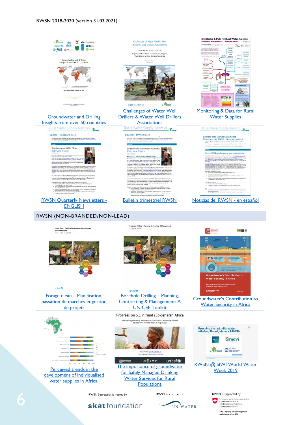

**Swiss Agency for Development**<br>and Cooperation SDC

6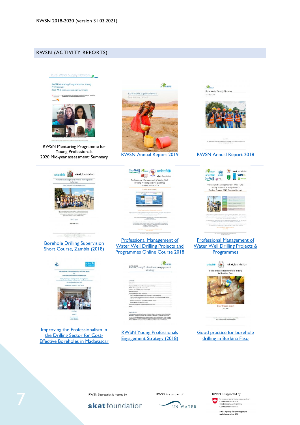# RWSN (ACTIVITY REPORTS)



**RWSN Mentoring Programme for Young** Professionals<br>2020 Mid-year assessment: Summary  $\bullet$ .<br>We would like to thank the Swiss Development Cooperation or



RWSN Mentoring Programme for Young Professionals 2020 Mid-year assessment: Summary [RWSN Annual Report 2019](https://www.rural-water-supply.net/en/resources/details/896) [RWSN Annual Report 2018](https://www.rural-water-supply.net/en/resources/details/851)

unicefte **Skat**\_foundation

Professionalising Groundwater Development<br>In Zambia

[Borehole Drilling Supervision](https://www.rural-water-supply.net/en/resources/details/827)  [Short Course, Zambia \(2018\)](https://www.rural-water-supply.net/en/resources/details/827)

 $[100] The AAA\&\,{\rm Max\ linear\,} R$  For Fearbatics, Valency 42, OY1000 Is Galler, Sectionist<br>  $\alpha$  in the Decay of Walency 42, OY1000 Is Galler, Sectionist<br> 2010 Is an interaction and Decay and Section and Decay and Section and Decay









[Professional Management of](https://www.rural-water-supply.net/en/resources/details/814)  [Water Well Drilling Projects and](https://www.rural-water-supply.net/en/resources/details/814)  [Programmes Online Course 2018](https://www.rural-water-supply.net/en/resources/details/814)



[Improving the Professionalism in](https://www.rural-water-supply.net/en/resources/details/808)  [the Drilling Sector for Cost-](https://www.rural-water-supply.net/en/resources/details/808)[Effective Boreholes in Madagascar](https://www.rural-water-supply.net/en/resources/details/808)

| Castlerette<br><b>Kinsula Roycle</b><br><b><i><u><u>Radionals</u></u></i></b><br>Objective of EMSA's Hoong Professionals engagement in vingal<br>EWOF's role in engaging with young people.<br>Telesting and young philosophy and an adult increased<br><b>Itakeholder</b> magaing<br>Proposed Articlies for Herita (2018-2020)<br>Hilar 2: Defining and enlarging FMISV's community of unung professionals<br>Nike 2. Facilitate capacity historing of worsng professionals, and knowledge exchange is<br>tuning and spring mandant.<br>Nike 3: Roong professional representation in FAISA's activities<br>Filter 4. RADN'Young professionals awarts<br>Fropound timeline of youth Angagement activities (2018-2020)<br><b>Ancient</b> | strategy           |  |
|-----------------------------------------------------------------------------------------------------------------------------------------------------------------------------------------------------------------------------------------------------------------------------------------------------------------------------------------------------------------------------------------------------------------------------------------------------------------------------------------------------------------------------------------------------------------------------------------------------------------------------------------------------------------------------------------------------------------------------------------|--------------------|--|
|                                                                                                                                                                                                                                                                                                                                                                                                                                                                                                                                                                                                                                                                                                                                         |                    |  |
|                                                                                                                                                                                                                                                                                                                                                                                                                                                                                                                                                                                                                                                                                                                                         |                    |  |
|                                                                                                                                                                                                                                                                                                                                                                                                                                                                                                                                                                                                                                                                                                                                         |                    |  |
|                                                                                                                                                                                                                                                                                                                                                                                                                                                                                                                                                                                                                                                                                                                                         |                    |  |
|                                                                                                                                                                                                                                                                                                                                                                                                                                                                                                                                                                                                                                                                                                                                         |                    |  |
|                                                                                                                                                                                                                                                                                                                                                                                                                                                                                                                                                                                                                                                                                                                                         |                    |  |
|                                                                                                                                                                                                                                                                                                                                                                                                                                                                                                                                                                                                                                                                                                                                         |                    |  |
|                                                                                                                                                                                                                                                                                                                                                                                                                                                                                                                                                                                                                                                                                                                                         |                    |  |
|                                                                                                                                                                                                                                                                                                                                                                                                                                                                                                                                                                                                                                                                                                                                         |                    |  |
|                                                                                                                                                                                                                                                                                                                                                                                                                                                                                                                                                                                                                                                                                                                                         |                    |  |
|                                                                                                                                                                                                                                                                                                                                                                                                                                                                                                                                                                                                                                                                                                                                         |                    |  |
|                                                                                                                                                                                                                                                                                                                                                                                                                                                                                                                                                                                                                                                                                                                                         |                    |  |
|                                                                                                                                                                                                                                                                                                                                                                                                                                                                                                                                                                                                                                                                                                                                         |                    |  |
|                                                                                                                                                                                                                                                                                                                                                                                                                                                                                                                                                                                                                                                                                                                                         |                    |  |
|                                                                                                                                                                                                                                                                                                                                                                                                                                                                                                                                                                                                                                                                                                                                         |                    |  |
|                                                                                                                                                                                                                                                                                                                                                                                                                                                                                                                                                                                                                                                                                                                                         |                    |  |
|                                                                                                                                                                                                                                                                                                                                                                                                                                                                                                                                                                                                                                                                                                                                         |                    |  |
|                                                                                                                                                                                                                                                                                                                                                                                                                                                                                                                                                                                                                                                                                                                                         | <b>Alsout BWSN</b> |  |

[RWSN Young Professionals](https://www.rural-water-supply.net/en/resources/details/806)  [Engagement Strategy \(2018\)](https://www.rural-water-supply.net/en/resources/details/806)





### [Professional Management of](https://www.rural-water-supply.net/en/resources/details/881)  [Water Well Drilling Projects &](https://www.rural-water-supply.net/en/resources/details/881)  **[Programmes](https://www.rural-water-supply.net/en/resources/details/881)**



Good practice for borehole [drilling in Burkina Faso](https://www.rural-water-supply.net/en/resources/details/849)

skatfoundation



**Swiss Agency for Development<br>and Cooperation SDC**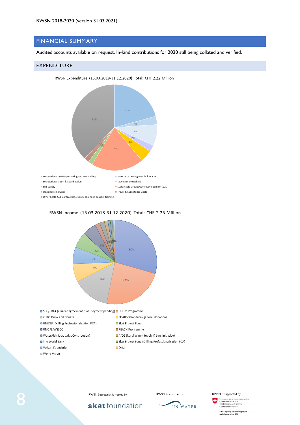# FINANCIAL SUMMARY

Audited accounts available on request. In-kind contributions for 2020 still being collated and verified.

### EXPENDITURE

RWSN Expenditure (15.03.2018-31.12.2020) Total: CHF 2.22 Million





# RWSN Income (15.03.2018-31.12.2020) Total: CHF 2.25 Million

SDC/FDFA (current agreement, final payment pending) UPGro Programme

| <b>■ZH2O Drink and Donate</b>             | □ SF Allocation from general donations                 |
|-------------------------------------------|--------------------------------------------------------|
| UNICEF (Drilling Professionalisation PCA) | ■ Skat Project Fund                                    |
| <b>■UNOPS/WSSCC</b>                       | REACH Programme                                        |
| ■WaterAid (Secretariat Contribution)      | AfDB (Rural Water Supply & San. Initiative)            |
| <b>■The World Bank</b>                    | ■ Skat Project Fund (Drilling Professionalisation PCA) |
| ■ Volkart Foundation                      | $\Box$ Oxfam                                           |
| ■ World Vision                            |                                                        |

8

skat foundation



Schweizerische Eidgenoss chaft u. ichweizerische Eidgenoss<br>Confédération suisse<br>Confederazione Svizzera<br>Confederaziun svizra

**Swiss Agency for Development<br>and Cooperation SDC**